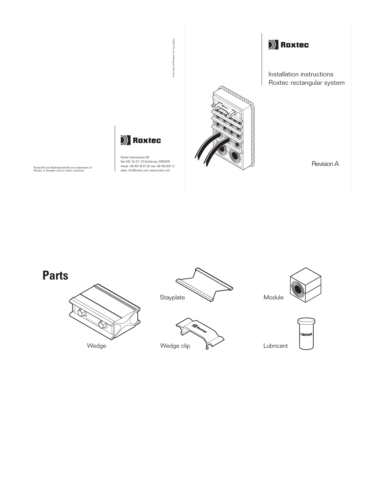



Roxtec International AB Box 540, SE-371 23 Karlskrona, SWEDEN PHONE +46 455 36 67 00, FAX +46 455 820 12 EMAIL info@roxtec.com, www.roxtec.com

Roxtec® and Multidiameter® are trademarks of Roxtec in Sweden and/or other countries.

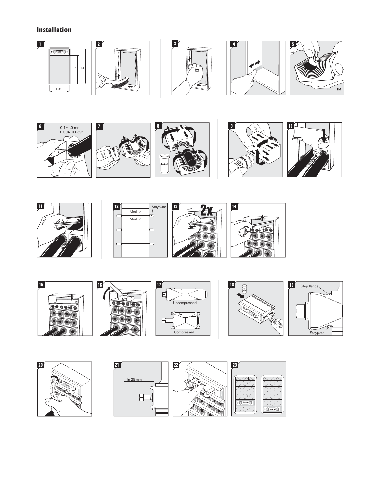# **Installation**







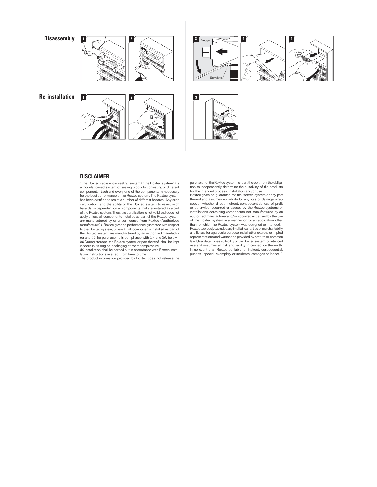





**Re-installation <sup>1</sup>**





#### **DISCLAIMER**

"The Roxtec cable entry sealing system ("the Roxtec system") is a modular-based system of sealing products consisting of different components. Each and every one of the components is necessary for the best performance of the Roxtec system. The Roxtec system has been certified to resist a number of different hazards. Any such certification, and the ability of the Roxtec system to resist such hazards, is dependent on all components that are installed as a part of the Roxtec system. Thus, the certification is not valid and does not apply unless all components installed as part of the Roxtec system are manufactured by or under license from Roxtec ("authorized manufacturer"). Roxtec gives no performance guarantee with respect to the Roxtec system, unless (I) all components installed as part of the Roxtec system are manufactured by an authorized manufacturer and (II) the purchaser is in compliance with (a), and (b), below. (a) During storage, the Roxtec system or part thereof, shall be kept indoors in its original packaging at room temperature. (b) Installation shall be carried out in accordance with Roxtec instal-

lation instructions in effect from time to time. The product information provided by Roxtec does not release the

purchaser of the Roxtec system, or part thereof, from the obliga-tion to independently determine the suitability of the products

for the intended process, installation and/or use.<br>Roxtec gives no guarantee for the Roxtec system or any part<br>thereof and assumes no liability for any loss or damage what-<br>thereof and assumes no liability for any loss or or otherwise, occurred or caused by the Roxtec systems or installations containing components not manufactured by an authorized manufacturer and/or occurred or caused by the use of the Roxtec system in a manner or for an application other than for which the Roxtec system was designed or intended. Roxtec expressly excludes any implied warranties of merchantability and fitness for a particular purpose and all other express or implied representations and warranties provided by statute or common law. User determines suitability of the Roxtec system for intended use and assumes all risk and liability in connection therewith. In no event shall Roxtec be liable for indirect, consequential, punitive, special, exemplary or incidental damages or losses.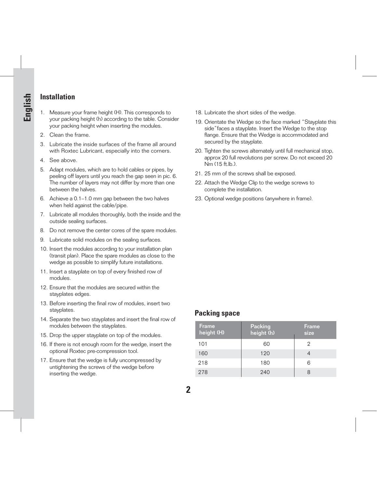## **Installation**

**English**

- 1. Measure your frame height (H). This corresponds to your packing height (h) according to the table. Consider your packing height when inserting the modules.
- 2. Clean the frame.
- 3. Lubricate the inside surfaces of the frame all around with Roxtec Lubricant, especially into the corners.
- 4. See above.
- 5. Adapt modules, which are to hold cables or pipes, by peeling off layers until you reach the gap seen in pic. 6. The number of layers may not differ by more than one between the halves.
- 6. Achieve a 0.1–1.0 mm gap between the two halves when held against the cable/pipe.
- 7. Lubricate all modules thoroughly, both the inside and the outside sealing surfaces.
- 8. Do not remove the center cores of the spare modules.
- 9. Lubricate solid modules on the sealing surfaces.
- 10. Insert the modules according to your installation plan (transit plan). Place the spare modules as close to the wedge as possible to simplify future installations.
- 11. Insert a stayplate on top of every finished row of modules.
- 12. Ensure that the modules are secured within the stayplates edges.
- 13. Before inserting the final row of modules, insert two stayplates.
- 14. Separate the two stayplates and insert the final row of modules between the stayplates.
- 15. Drop the upper stayplate on top of the modules.
- 16. If there is not enough room for the wedge, insert the optional Roxtec pre-compression tool.
- 17. Ensure that the wedge is fully uncompressed by untightening the screws of the wedge before inserting the wedge.
- 18. Lubricate the short sides of the wedge.
- 19. Orientate the Wedge so the face marked "Stayplate this side"faces a stayplate. Insert the Wedge to the stop flange. Ensure that the Wedge is accommodated and secured by the stayplate.
- 20. Tighten the screws alternately until full mechanical stop, approx 20 full revolutions per screw. Do not exceed 20 Nm (15 ft.lb.).
- 21. 25 mm of the screws shall be exposed.
- 22. Attach the Wedge Clip to the wedge screws to complete the installation.
- 23. Optional wedge positions (anywhere in frame).

## **Packing space**

| <b>Frame</b><br>height (H) | <b>Packing</b><br>height (h) | <b>Frame</b><br>size |
|----------------------------|------------------------------|----------------------|
| 101                        | 60                           | 2                    |
| 160                        | 120                          |                      |
| 218                        | 180                          | 6                    |
| 278                        | 240                          | 8                    |

**2**